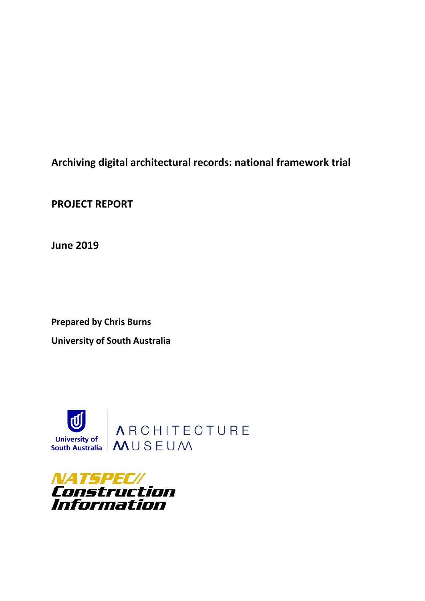**Archiving digital architectural records: national framework trial**

**PROJECT REPORT** 

**June 2019** 

**Prepared by Chris Burns University of South Australia** 



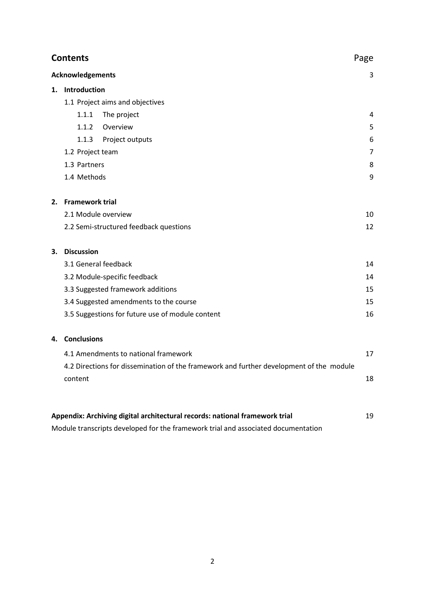| <b>Contents</b><br>Page |                                                                                         |                                                                             |    |
|-------------------------|-----------------------------------------------------------------------------------------|-----------------------------------------------------------------------------|----|
| <b>Acknowledgements</b> |                                                                                         |                                                                             |    |
|                         | 1. Introduction                                                                         |                                                                             |    |
|                         | 1.1 Project aims and objectives                                                         |                                                                             |    |
|                         | 1.1.1                                                                                   | The project                                                                 | 4  |
|                         | 1.1.2                                                                                   | Overview                                                                    | 5  |
|                         | 1.1.3                                                                                   | Project outputs                                                             | 6  |
|                         | 1.2 Project team                                                                        |                                                                             | 7  |
|                         | 1.3 Partners                                                                            |                                                                             | 8  |
|                         | 1.4 Methods                                                                             |                                                                             | 9  |
| 2.                      | <b>Framework trial</b>                                                                  |                                                                             |    |
|                         | 2.1 Module overview                                                                     |                                                                             | 10 |
|                         |                                                                                         | 2.2 Semi-structured feedback questions                                      | 12 |
| 3.                      | <b>Discussion</b>                                                                       |                                                                             |    |
|                         |                                                                                         | 3.1 General feedback                                                        | 14 |
|                         |                                                                                         | 3.2 Module-specific feedback                                                | 14 |
|                         |                                                                                         | 3.3 Suggested framework additions                                           | 15 |
|                         |                                                                                         | 3.4 Suggested amendments to the course                                      | 15 |
|                         |                                                                                         | 3.5 Suggestions for future use of module content                            | 16 |
| 4.                      | <b>Conclusions</b>                                                                      |                                                                             |    |
|                         | 4.1 Amendments to national framework                                                    |                                                                             | 17 |
|                         | 4.2 Directions for dissemination of the framework and further development of the module |                                                                             |    |
|                         | content                                                                                 |                                                                             | 18 |
|                         |                                                                                         |                                                                             |    |
|                         |                                                                                         | Appendix: Archiving digital architectural records: national framework trial | 19 |

Module transcripts developed for the framework trial and associated documentation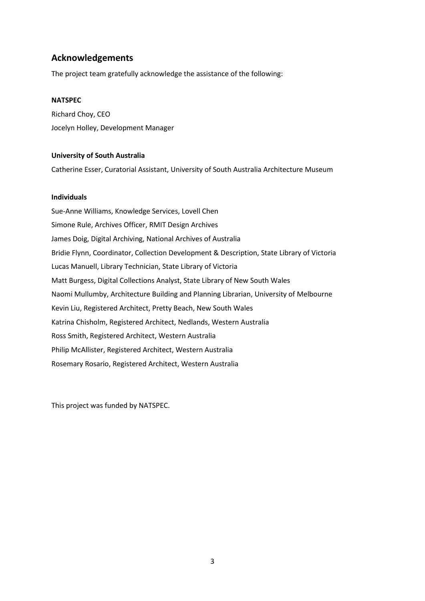# **Acknowledgements**

The project team gratefully acknowledge the assistance of the following:

#### **NATSPEC**

Richard Choy, CEO Jocelyn Holley, Development Manager

#### **University of South Australia**

Catherine Esser, Curatorial Assistant, University of South Australia Architecture Museum

#### **Individuals**

Sue-Anne Williams, Knowledge Services, Lovell Chen Simone Rule, Archives Officer, RMIT Design Archives James Doig, Digital Archiving, National Archives of Australia Bridie Flynn, Coordinator, Collection Development & Description, State Library of Victoria Lucas Manuell, Library Technician, State Library of Victoria Matt Burgess, Digital Collections Analyst, State Library of New South Wales Naomi Mullumby, Architecture Building and Planning Librarian, University of Melbourne Kevin Liu, Registered Architect, Pretty Beach, New South Wales Katrina Chisholm, Registered Architect, Nedlands, Western Australia Ross Smith, Registered Architect, Western Australia Philip McAllister, Registered Architect, Western Australia Rosemary Rosario, Registered Architect, Western Australia

This project was funded by NATSPEC.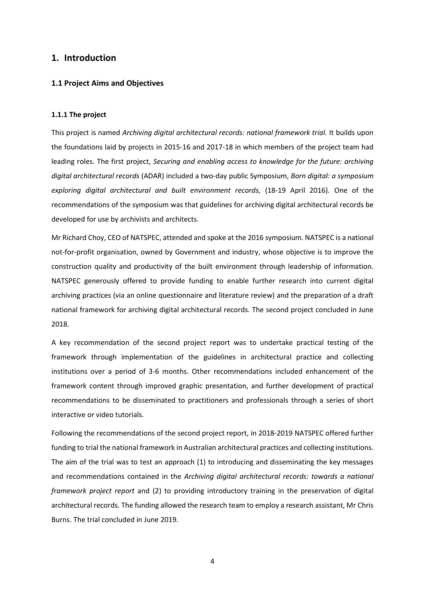## **1. Introduction**

#### **1.1 Project Aims and Objectives**

#### **1.1.1 The project**

This project is named *Archiving digital architectural records: national framework trial.* It builds upon the foundations laid by projects in 2015-16 and 2017-18 in which members of the project team had leading roles. The first project, *Securing and enabling access to knowledge for the future: archiving digital architectural records* (ADAR) included a two-day public Symposium, *Born digital: a symposium exploring digital architectural and built environment records,* (18-19 April 2016)*.* One of the recommendations of the symposium was that guidelines for archiving digital architectural records be developed for use by archivists and architects.

Mr Richard Choy, CEO of NATSPEC, attended and spoke at the 2016 symposium. NATSPEC is a national not-for-profit organisation, owned by Government and industry, whose objective is to improve the construction quality and productivity of the built environment through leadership of information. NATSPEC generously offered to provide funding to enable further research into current digital archiving practices (via an online questionnaire and literature review) and the preparation of a draft national framework for archiving digital architectural records. The second project concluded in June 2018.

A key recommendation of the second project report was to undertake practical testing of the framework through implementation of the guidelines in architectural practice and collecting institutions over a period of 3-6 months. Other recommendations included enhancement of the framework content through improved graphic presentation, and further development of practical recommendations to be disseminated to practitioners and professionals through a series of short interactive or video tutorials.

Following the recommendations of the second project report, in 2018-2019 NATSPEC offered further funding to trial the national framework in Australian architectural practices and collecting institutions. The aim of the trial was to test an approach (1) to introducing and disseminating the key messages and recommendations contained in the *Archiving digital architectural records: towards a national framework project report* and (2) to providing introductory training in the preservation of digital architectural records. The funding allowed the research team to employ a research assistant, Mr Chris Burns. The trial concluded in June 2019.

4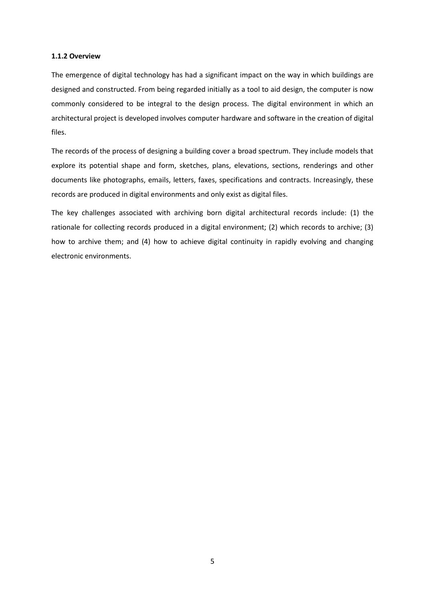#### **1.1.2 Overview**

The emergence of digital technology has had a significant impact on the way in which buildings are designed and constructed. From being regarded initially as a tool to aid design, the computer is now commonly considered to be integral to the design process. The digital environment in which an architectural project is developed involves computer hardware and software in the creation of digital files.

The records of the process of designing a building cover a broad spectrum. They include models that explore its potential shape and form, sketches, plans, elevations, sections, renderings and other documents like photographs, emails, letters, faxes, specifications and contracts. Increasingly, these records are produced in digital environments and only exist as digital files.

The key challenges associated with archiving born digital architectural records include: (1) the rationale for collecting records produced in a digital environment; (2) which records to archive; (3) how to archive them; and (4) how to achieve digital continuity in rapidly evolving and changing electronic environments.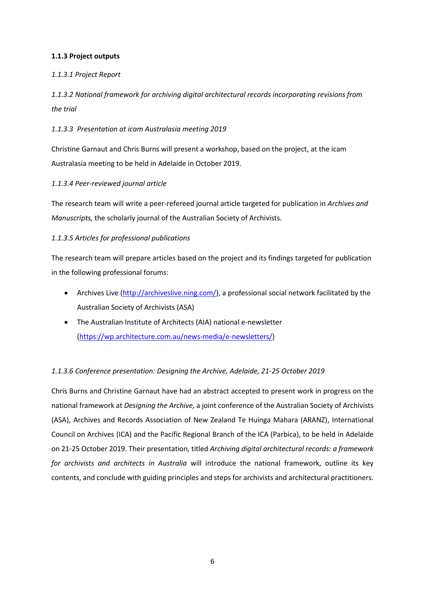## **1.1.3 Project outputs**

## *1.1.3.1 Project Report*

*1.1.3.2 National framework for archiving digital architectural records incorporating revisions from the trial*

## *1.1.3.3 Presentation at icam Australasia meeting 2019*

Christine Garnaut and Chris Burns will present a workshop, based on the project, at the icam Australasia meeting to be held in Adelaide in October 2019.

## *1.1.3.4 Peer-reviewed journal article*

The research team will write a peer-refereed journal article targeted for publication in *Archives and Manuscripts,* the scholarly journal of the Australian Society of Archivists.

## *1.1.3.5 Articles for professional publications*

The research team will prepare articles based on the project and its findings targeted for publication in the following professional forums:

- Archives Live [\(http://archiveslive.ning.com/\)](http://archiveslive.ning.com/), a professional social network facilitated by the Australian Society of Archivists (ASA)
- The Australian Institute of Architects (AIA) national e-newsletter [\(https://wp.architecture.com.au/news-media/e-newsletters/\)](https://wp.architecture.com.au/news-media/e-newsletters/)

# *1.1.3.6 Conference presentation: Designing the Archive, Adelaide, 21-25 October 2019*

Chris Burns and Christine Garnaut have had an abstract accepted to present work in progress on the national framework at *Designing the Archive,* a joint conference of the Australian Society of Archivists (ASA), Archives and Records Association of New Zealand Te Huinga Mahara (ARANZ), International Council on Archives (ICA) and the Pacific Regional Branch of the ICA (Parbica), to be held in Adelaide on 21-25 October 2019. Their presentation, titled *Archiving digital architectural records: a framework for archivists and architects in Australia* will introduce the national framework, outline its key contents, and conclude with guiding principles and steps for archivists and architectural practitioners.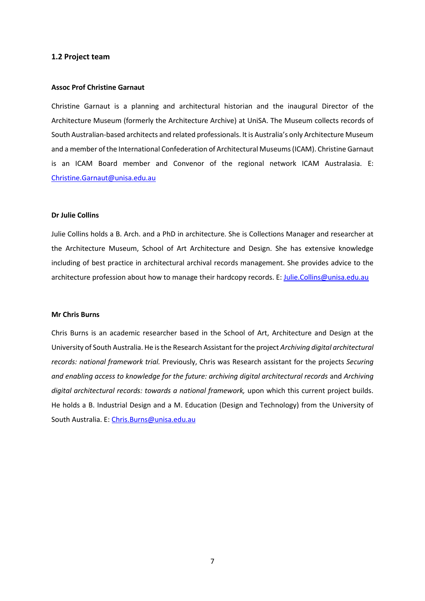#### **1.2 Project team**

#### **Assoc Prof Christine Garnaut**

Christine Garnaut is a planning and architectural historian and the inaugural Director of the Architecture Museum (formerly the Architecture Archive) at UniSA. The Museum collects records of South Australian-based architects and related professionals. It is Australia's only Architecture Museum and a member of the International Confederation of Architectural Museums (ICAM). Christine Garnaut is an ICAM Board member and Convenor of the regional network ICAM Australasia. E: [Christine.Garnaut@unisa.edu.au](mailto:Christine.Garnaut@unisa.edu.au)

#### **Dr Julie Collins**

Julie Collins holds a B. Arch. and a PhD in architecture. She is Collections Manager and researcher at the Architecture Museum, School of Art Architecture and Design. She has extensive knowledge including of best practice in architectural archival records management. She provides advice to the architecture profession about how to manage their hardcopy records. E[: Julie.Collins@unisa.edu.au](mailto:Julie.Collins@unisa.edu.au)

#### **Mr Chris Burns**

Chris Burns is an academic researcher based in the School of Art, Architecture and Design at the University of South Australia. He is the Research Assistant for the project *Archiving digital architectural records: national framework trial.* Previously, Chris was Research assistant for the projects *Securing and enabling access to knowledge for the future: archiving digital architectural records* and *Archiving digital architectural records: towards a national framework,* upon which this current project builds. He holds a B. Industrial Design and a M. Education (Design and Technology) from the University of South Australia. E: [Chris.Burns@unisa.edu.au](mailto:Chris.Burns@unisa.edu.au)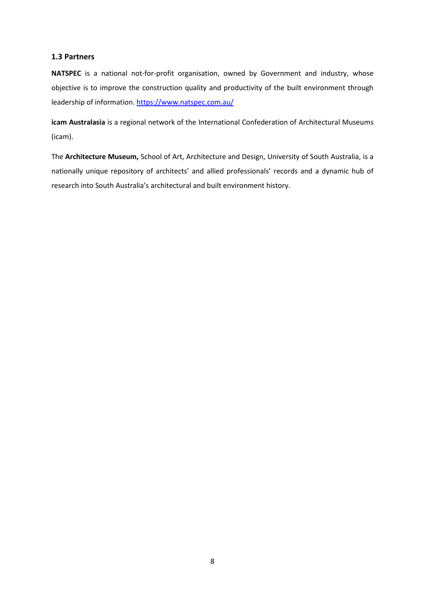#### **1.3 Partners**

**NATSPEC** is a national not-for-profit organisation, owned by Government and industry, whose objective is to improve the construction quality and productivity of the built environment through leadership of information. <https://www.natspec.com.au/>

**icam Australasia** is a regional network of the International Confederation of Architectural Museums (icam).

The **Architecture Museum,** School of Art, Architecture and Design, University of South Australia, is a nationally unique repository of architects' and allied professionals' records and a dynamic hub of research into South Australia's architectural and built environment history.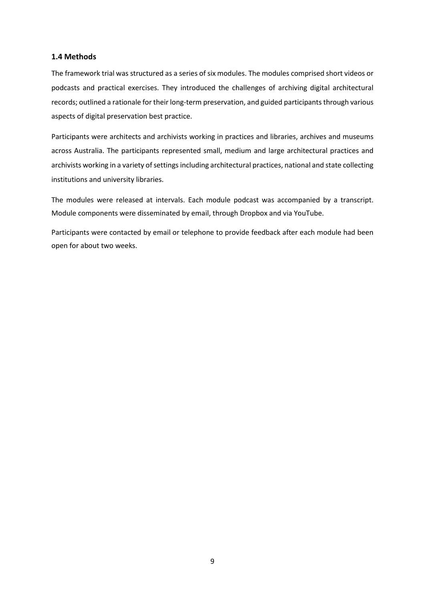#### **1.4 Methods**

The framework trial was structured as a series of six modules. The modules comprised short videos or podcasts and practical exercises. They introduced the challenges of archiving digital architectural records; outlined a rationale for their long-term preservation, and guided participants through various aspects of digital preservation best practice.

Participants were architects and archivists working in practices and libraries, archives and museums across Australia. The participants represented small, medium and large architectural practices and archivists working in a variety of settings including architectural practices, national and state collecting institutions and university libraries.

The modules were released at intervals. Each module podcast was accompanied by a transcript. Module components were disseminated by email, through Dropbox and via YouTube.

Participants were contacted by email or telephone to provide feedback after each module had been open for about two weeks.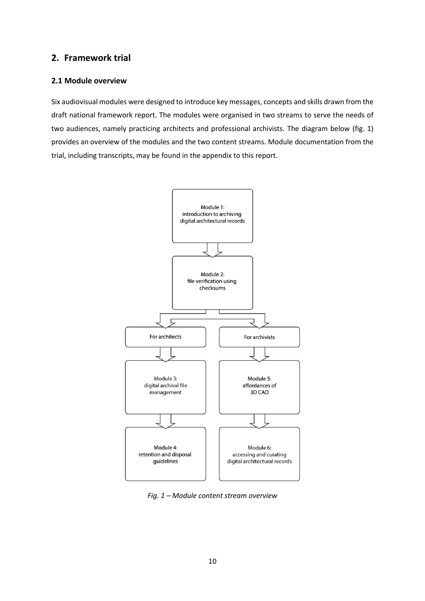# **2. Framework trial**

#### **2.1 Module overview**

Six audiovisual modules were designed to introduce key messages, concepts and skills drawn from the draft national framework report. The modules were organised in two streams to serve the needs of two audiences, namely practicing architects and professional archivists. The diagram below (fig. 1) provides an overview of the modules and the two content streams. Module documentation from the trial, including transcripts, may be found in the appendix to this report.



*Fig. 1 – Module content stream overview*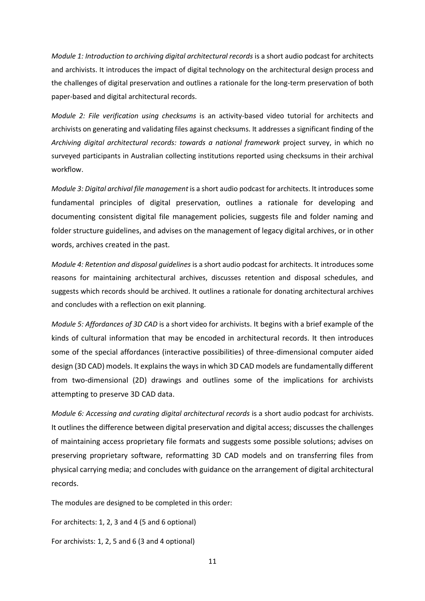*Module 1: Introduction to archiving digital architectural records* is a short audio podcast for architects and archivists. It introduces the impact of digital technology on the architectural design process and the challenges of digital preservation and outlines a rationale for the long-term preservation of both paper-based and digital architectural records.

*Module 2: File verification using checksums* is an activity-based video tutorial for architects and archivists on generating and validating files against checksums. It addresses a significant finding of the *Archiving digital architectural records: towards a national framework* project survey, in which no surveyed participants in Australian collecting institutions reported using checksums in their archival workflow.

*Module 3: Digital archival file management* is a short audio podcast for architects. It introduces some fundamental principles of digital preservation, outlines a rationale for developing and documenting consistent digital file management policies, suggests file and folder naming and folder structure guidelines, and advises on the management of legacy digital archives, or in other words, archives created in the past.

*Module 4: Retention and disposal guidelines* is a short audio podcast for architects. It introduces some reasons for maintaining architectural archives, discusses retention and disposal schedules, and suggests which records should be archived. It outlines a rationale for donating architectural archives and concludes with a reflection on exit planning.

*Module 5: Affordances of 3D CAD* is a short video for archivists. It begins with a brief example of the kinds of cultural information that may be encoded in architectural records. It then introduces some of the special affordances (interactive possibilities) of three-dimensional computer aided design (3D CAD) models. It explains the ways in which 3D CAD models are fundamentally different from two-dimensional (2D) drawings and outlines some of the implications for archivists attempting to preserve 3D CAD data.

*Module 6: Accessing and curating digital architectural records* is a short audio podcast for archivists. It outlines the difference between digital preservation and digital access; discusses the challenges of maintaining access proprietary file formats and suggests some possible solutions; advises on preserving proprietary software, reformatting 3D CAD models and on transferring files from physical carrying media; and concludes with guidance on the arrangement of digital architectural records.

The modules are designed to be completed in this order:

For architects: 1, 2, 3 and 4 (5 and 6 optional)

For archivists: 1, 2, 5 and 6 (3 and 4 optional)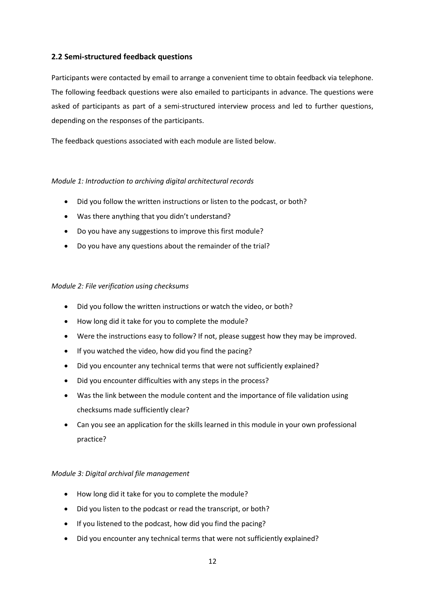## **2.2 Semi-structured feedback questions**

Participants were contacted by email to arrange a convenient time to obtain feedback via telephone. The following feedback questions were also emailed to participants in advance. The questions were asked of participants as part of a semi-structured interview process and led to further questions, depending on the responses of the participants.

The feedback questions associated with each module are listed below.

#### *Module 1: Introduction to archiving digital architectural records*

- Did you follow the written instructions or listen to the podcast, or both?
- Was there anything that you didn't understand?
- Do you have any suggestions to improve this first module?
- Do you have any questions about the remainder of the trial?

#### *Module 2: File verification using checksums*

- Did you follow the written instructions or watch the video, or both?
- How long did it take for you to complete the module?
- Were the instructions easy to follow? If not, please suggest how they may be improved.
- If you watched the video, how did you find the pacing?
- Did you encounter any technical terms that were not sufficiently explained?
- Did you encounter difficulties with any steps in the process?
- Was the link between the module content and the importance of file validation using checksums made sufficiently clear?
- Can you see an application for the skills learned in this module in your own professional practice?

#### *Module 3: Digital archival file management*

- How long did it take for you to complete the module?
- Did you listen to the podcast or read the transcript, or both?
- If you listened to the podcast, how did you find the pacing?
- Did you encounter any technical terms that were not sufficiently explained?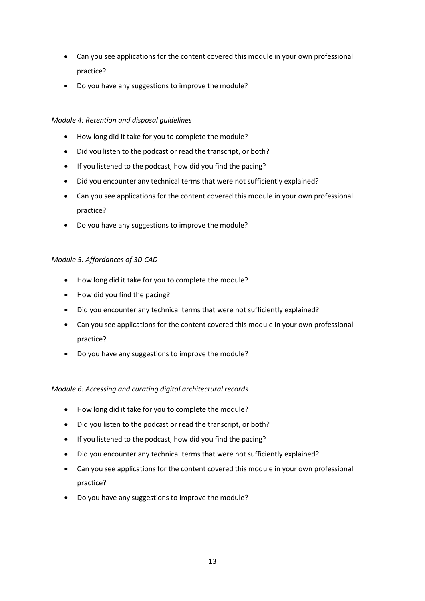- Can you see applications for the content covered this module in your own professional practice?
- Do you have any suggestions to improve the module?

#### *Module 4: Retention and disposal guidelines*

- How long did it take for you to complete the module?
- Did you listen to the podcast or read the transcript, or both?
- If you listened to the podcast, how did you find the pacing?
- Did you encounter any technical terms that were not sufficiently explained?
- Can you see applications for the content covered this module in your own professional practice?
- Do you have any suggestions to improve the module?

#### *Module 5: Affordances of 3D CAD*

- How long did it take for you to complete the module?
- How did you find the pacing?
- Did you encounter any technical terms that were not sufficiently explained?
- Can you see applications for the content covered this module in your own professional practice?
- Do you have any suggestions to improve the module?

#### *Module 6: Accessing and curating digital architectural records*

- How long did it take for you to complete the module?
- Did you listen to the podcast or read the transcript, or both?
- If you listened to the podcast, how did you find the pacing?
- Did you encounter any technical terms that were not sufficiently explained?
- Can you see applications for the content covered this module in your own professional practice?
- Do you have any suggestions to improve the module?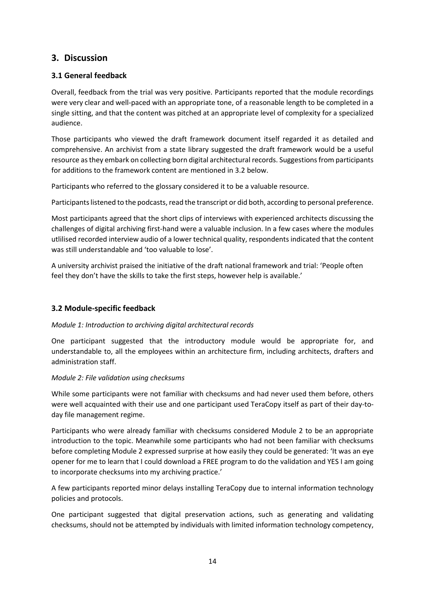# **3. Discussion**

# **3.1 General feedback**

Overall, feedback from the trial was very positive. Participants reported that the module recordings were very clear and well-paced with an appropriate tone, of a reasonable length to be completed in a single sitting, and that the content was pitched at an appropriate level of complexity for a specialized audience.

Those participants who viewed the draft framework document itself regarded it as detailed and comprehensive. An archivist from a state library suggested the draft framework would be a useful resource as they embark on collecting born digital architectural records. Suggestions from participants for additions to the framework content are mentioned in 3.2 below.

Participants who referred to the glossary considered it to be a valuable resource.

Participants listened to the podcasts, read the transcript or did both, according to personal preference.

Most participants agreed that the short clips of interviews with experienced architects discussing the challenges of digital archiving first-hand were a valuable inclusion. In a few cases where the modules utlilised recorded interview audio of a lower technical quality, respondents indicated that the content was still understandable and 'too valuable to lose'.

A university archivist praised the initiative of the draft national framework and trial: 'People often feel they don't have the skills to take the first steps, however help is available.'

# **3.2 Module-specific feedback**

#### *Module 1: Introduction to archiving digital architectural records*

One participant suggested that the introductory module would be appropriate for, and understandable to, all the employees within an architecture firm, including architects, drafters and administration staff.

#### *Module 2: File validation using checksums*

While some participants were not familiar with checksums and had never used them before, others were well acquainted with their use and one participant used TeraCopy itself as part of their day-today file management regime.

Participants who were already familiar with checksums considered Module 2 to be an appropriate introduction to the topic. Meanwhile some participants who had not been familiar with checksums before completing Module 2 expressed surprise at how easily they could be generated: 'It was an eye opener for me to learn that I could download a FREE program to do the validation and YES I am going to incorporate checksums into my archiving practice.'

A few participants reported minor delays installing TeraCopy due to internal information technology policies and protocols.

One participant suggested that digital preservation actions, such as generating and validating checksums, should not be attempted by individuals with limited information technology competency,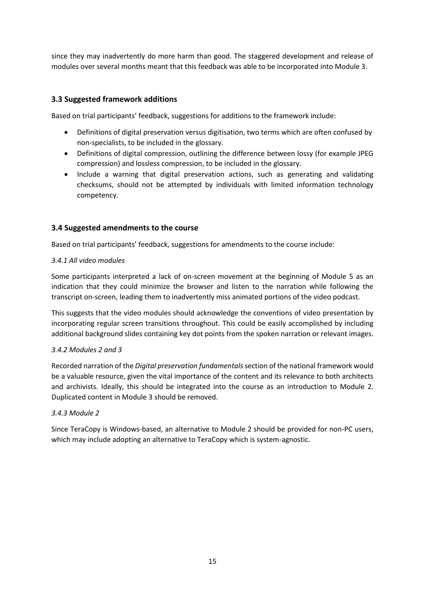since they may inadvertently do more harm than good. The staggered development and release of modules over several months meant that this feedback was able to be incorporated into Module 3.

# **3.3 Suggested framework additions**

Based on trial participants' feedback, suggestions for additions to the framework include:

- Definitions of digital preservation versus digitisation, two terms which are often confused by non-specialists, to be included in the glossary.
- Definitions of digital compression, outlining the difference between lossy (for example JPEG compression) and lossless compression, to be included in the glossary.
- Include a warning that digital preservation actions, such as generating and validating checksums, should not be attempted by individuals with limited information technology competency.

# **3.4 Suggested amendments to the course**

Based on trial participants' feedback, suggestions for amendments to the course include:

#### *3.4.1 All video modules*

Some participants interpreted a lack of on-screen movement at the beginning of Module 5 as an indication that they could minimize the browser and listen to the narration while following the transcript on-screen, leading them to inadvertently miss animated portions of the video podcast.

This suggests that the video modules should acknowledge the conventions of video presentation by incorporating regular screen transitions throughout. This could be easily accomplished by including additional background slides containing key dot points from the spoken narration or relevant images.

#### *3.4.2 Modules 2 and 3*

Recorded narration of the *Digital preservation fundamentals* section of the national framework would be a valuable resource, given the vital importance of the content and its relevance to both architects and archivists. Ideally, this should be integrated into the course as an introduction to Module 2*.* Duplicated content in Module 3 should be removed.

#### *3.4.3 Module 2*

Since TeraCopy is Windows-based, an alternative to Module 2 should be provided for non-PC users, which may include adopting an alternative to TeraCopy which is system-agnostic.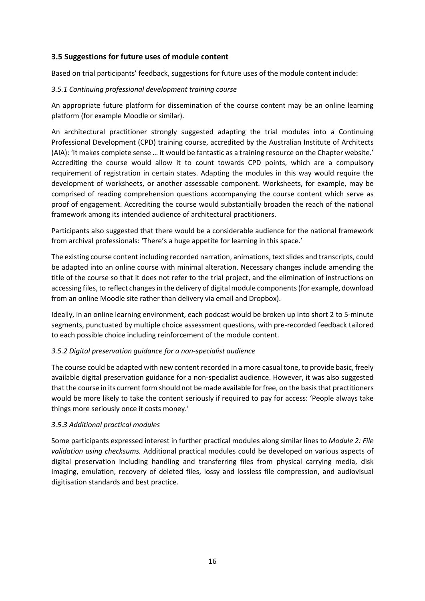## **3.5 Suggestions for future uses of module content**

Based on trial participants' feedback, suggestions for future uses of the module content include:

#### *3.5.1 Continuing professional development training course*

An appropriate future platform for dissemination of the course content may be an online learning platform (for example Moodle or similar).

An architectural practitioner strongly suggested adapting the trial modules into a Continuing Professional Development (CPD) training course, accredited by the Australian Institute of Architects (AIA): 'It makes complete sense … it would be fantastic as a training resource on the Chapter website.' Accrediting the course would allow it to count towards CPD points, which are a compulsory requirement of registration in certain states. Adapting the modules in this way would require the development of worksheets, or another assessable component. Worksheets, for example, may be comprised of reading comprehension questions accompanying the course content which serve as proof of engagement. Accrediting the course would substantially broaden the reach of the national framework among its intended audience of architectural practitioners.

Participants also suggested that there would be a considerable audience for the national framework from archival professionals: 'There's a huge appetite for learning in this space.'

The existing course content including recorded narration, animations, text slides and transcripts, could be adapted into an online course with minimal alteration. Necessary changes include amending the title of the course so that it does not refer to the trial project, and the elimination of instructions on accessing files, to reflect changes in the delivery of digital module components (for example, download from an online Moodle site rather than delivery via email and Dropbox).

Ideally, in an online learning environment, each podcast would be broken up into short 2 to 5-minute segments, punctuated by multiple choice assessment questions, with pre-recorded feedback tailored to each possible choice including reinforcement of the module content.

#### *3.5.2 Digital preservation guidance for a non-specialist audience*

The course could be adapted with new content recorded in a more casual tone, to provide basic, freely available digital preservation guidance for a non-specialist audience. However, it was also suggested that the course in its current form should not be made available for free, on the basis that practitioners would be more likely to take the content seriously if required to pay for access: 'People always take things more seriously once it costs money.'

#### *3.5.3 Additional practical modules*

Some participants expressed interest in further practical modules along similar lines to *Module 2: File validation using checksums.* Additional practical modules could be developed on various aspects of digital preservation including handling and transferring files from physical carrying media, disk imaging, emulation, recovery of deleted files, lossy and lossless file compression, and audiovisual digitisation standards and best practice.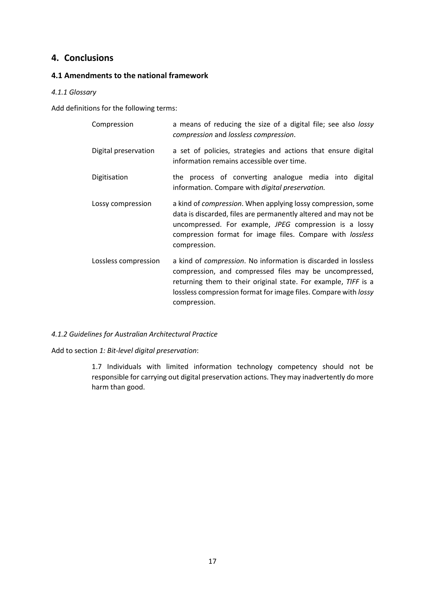# **4. Conclusions**

# **4.1 Amendments to the national framework**

#### *4.1.1 Glossary*

Add definitions for the following terms:

| Compression          | a means of reducing the size of a digital file; see also lossy<br>compression and lossless compression.                                                                                                                                                                               |
|----------------------|---------------------------------------------------------------------------------------------------------------------------------------------------------------------------------------------------------------------------------------------------------------------------------------|
| Digital preservation | a set of policies, strategies and actions that ensure digital<br>information remains accessible over time.                                                                                                                                                                            |
| Digitisation         | the process of converting analogue media into<br>digital<br>information. Compare with <i>digital preservation</i> .                                                                                                                                                                   |
| Lossy compression    | a kind of <i>compression</i> . When applying lossy compression, some<br>data is discarded, files are permanently altered and may not be<br>uncompressed. For example, JPEG compression is a lossy<br>compression format for image files. Compare with lossless<br>compression.        |
| Lossless compression | a kind of <i>compression</i> . No information is discarded in lossless<br>compression, and compressed files may be uncompressed,<br>returning them to their original state. For example, TIFF is a<br>lossless compression format for image files. Compare with lossy<br>compression. |

#### *4.1.2 Guidelines for Australian Architectural Practice*

Add to section *1: Bit-level digital preservation*:

1.7 Individuals with limited information technology competency should not be responsible for carrying out digital preservation actions. They may inadvertently do more harm than good.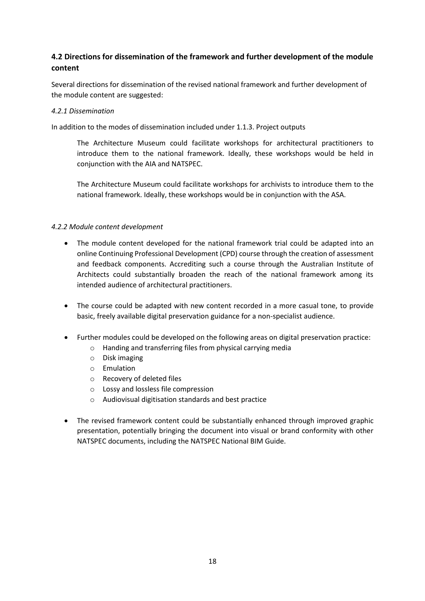# **4.2 Directions for dissemination of the framework and further development of the module content**

Several directions for dissemination of the revised national framework and further development of the module content are suggested:

#### *4.2.1 Dissemination*

In addition to the modes of dissemination included under 1.1.3. Project outputs

The Architecture Museum could facilitate workshops for architectural practitioners to introduce them to the national framework. Ideally, these workshops would be held in conjunction with the AIA and NATSPEC.

The Architecture Museum could facilitate workshops for archivists to introduce them to the national framework. Ideally, these workshops would be in conjunction with the ASA.

#### *4.2.2 Module content development*

- The module content developed for the national framework trial could be adapted into an online Continuing Professional Development (CPD) course through the creation of assessment and feedback components. Accrediting such a course through the Australian Institute of Architects could substantially broaden the reach of the national framework among its intended audience of architectural practitioners.
- The course could be adapted with new content recorded in a more casual tone, to provide basic, freely available digital preservation guidance for a non-specialist audience.
- Further modules could be developed on the following areas on digital preservation practice:
	- o Handing and transferring files from physical carrying media
	- o Disk imaging
	- o Emulation
	- o Recovery of deleted files
	- o Lossy and lossless file compression
	- o Audiovisual digitisation standards and best practice
- The revised framework content could be substantially enhanced through improved graphic presentation, potentially bringing the document into visual or brand conformity with other NATSPEC documents, including the NATSPEC National BIM Guide.